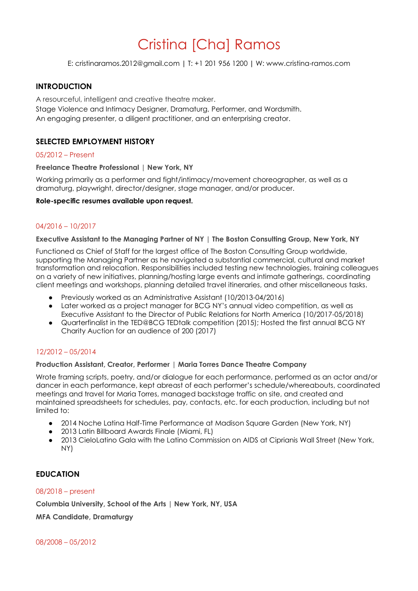# Cristina [Cha] Ramos

E: cristinaramos.2012@gmail.com **|** T: +1 201 956 1200 **|** W: www.cristina-ramos.com

## **INTRODUCTION**

A resourceful, intelligent and creative theatre maker. Stage Violence and Intimacy Designer, Dramaturg, Performer, and Wordsmith. An engaging presenter, a diligent practitioner, and an enterprising creator.

# **SELECTED EMPLOYMENT HISTORY**

#### 05/2012 – Present

#### **Freelance Theatre Professional | New York, NY**

Working primarily as a performer and fight/intimacy/movement choreographer, as well as a dramaturg, playwright, director/designer, stage manager, and/or producer.

#### **Role-specific resumes available upon request.**

## 04/2016 – 10/2017

## **Executive Assistant to the Managing Partner of NY | The Boston Consulting Group, New York, NY**

Functioned as Chief of Staff for the largest office of The Boston Consulting Group worldwide, supporting the Managing Partner as he navigated a substantial commercial, cultural and market transformation and relocation. Responsibilities included testing new technologies, training colleagues on a variety of new initiatives, planning/hosting large events and intimate gatherings, coordinating client meetings and workshops, planning detailed travel itineraries, and other miscellaneous tasks.

- Previously worked as an Administrative Assistant (10/2013-04/2016)
- Later worked as a project manager for BCG NY's annual video competition, as well as Executive Assistant to the Director of Public Relations for North America (10/2017-05/2018)
- Quarterfinalist in the TED@BCG TEDtalk competition (2015); Hosted the first annual BCG NY Charity Auction for an audience of 200 (2017)

## 12/2012 – 05/2014

## **Production Assistant, Creator, Performer | Maria Torres Dance Theatre Company**

Wrote framing scripts, poetry, and/or dialogue for each performance, performed as an actor and/or dancer in each performance, kept abreast of each performer's schedule/whereabouts, coordinated meetings and travel for Maria Torres, managed backstage traffic on site, and created and maintained spreadsheets for schedules, pay, contacts, etc. for each production, including but not limited to:

- 2014 Noche Latina Half-Time Performance at Madison Square Garden (New York, NY)
- 2013 Latin Billboard Awards Finale (Miami, FL)
- 2013 CieloLatino Gala with the Latino Commission on AIDS at Ciprianis Wall Street (New York, NY)

# **EDUCATION**

08/2018 – present

**Columbia University, School of the Arts | New York, NY, USA**

**MFA Candidate, Dramaturgy**

08/2008 – 05/2012